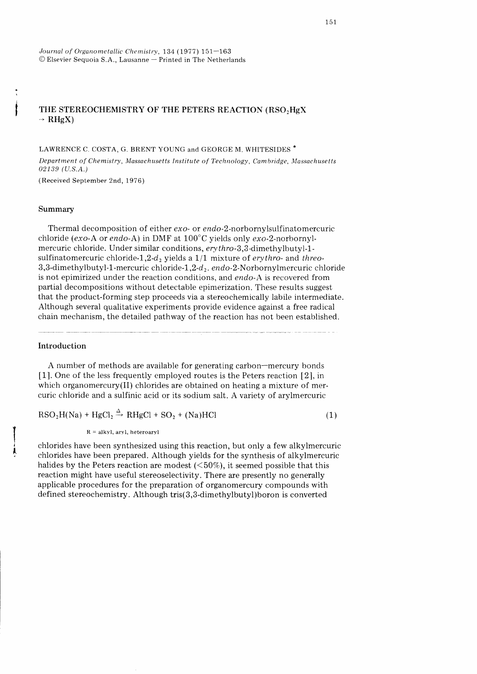# THE STEREOCHEMISTRY OF THE PETERS REACTION  $(\mathrm{RSO}_2\mathrm{HgX})$  $\rightarrow$  RHgX)

LAWRENCE C. COSTA, G. BRENT YOUNG and GEORGE M. WHITESIDES \*

Department of Chemistry, Massachusetts Institute of Technology, Cambridge, Massachusetts 02139 (U.S.A.)

( Received September 2nd, 1976)

## Summary

: I I

> Thermal decomposition of either exo- or endo-2-norbornylsulfinatomercuric chloride (exo-A or endo-A) in DMF at  $100^{\circ}$ C yields only exo-2-norbornylmercuric chloride. Under similar conditions, erythro-3,3-dimethylbutyl-1 sulfinatomercuric chloride-1,2-d<sub>2</sub> yields a 1/1 mixture of erythro- and threo- $3,3$ -dimethylbutyl-1-mercuric chloride-1,2-d<sub>2</sub>. endo-2-Norbornylmercuric chloride is not epimirized under the reaction conditions, and endo-A is recovered from partial decompositions without detectable epimerization. These results suggest that the product-forming step proceeds via a stereochemically labile intermediate. Although several qualitative experiments provide evidence against a free radical chain mechanism, the detailed pathway of the reaction has not been established.

# Introduction

 $\overline{\mathbf{A}}$ 

A number of methods are available for generating carbon-mercury bonds [1]. One of the less frequently employed routes is the Peters reaction [2], in which organomercury(II) chlorides are obtained on heating a mixture of mercuric chloride and a sulfinic acid or its sodium salt. A variety of arylmercuric

 $RSO<sub>2</sub>H(Na) + HgCl<sub>2</sub> \stackrel{\Delta}{\rightarrow} RHgCl + SO<sub>2</sub> + (Na)HCl$  (1)

 $R = alkyl$ , aryl, heteroaryl

chlorides have been synthesized using this reaction, but only a few alkylmercuric chlorides have been prepared. Although yields for the synthesis of alkylmercuric halides by the Peters reaction are modest  $(<50\%)$ , it seemed possible that this reaction might have useful stereoselectivity. There are presently no generally applicable procedures for the preparation of organomercury compounds with defined stereochemistry. Although tris(3,3-dimethylbutyl)boron is converted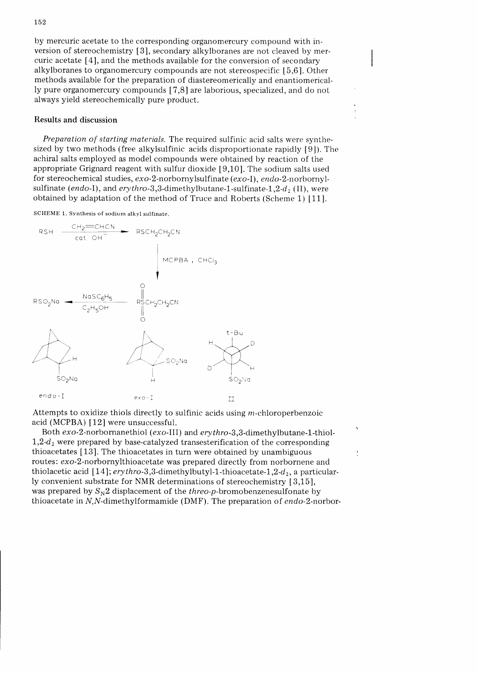by mercuric acetate to the corresponding organomercury compound with inversion of stereochemistry [3], secondary alkylboranes are not cleaved by mercuric acetate [4], and the methods available for the conversion of secondary alkylboranes to organomercury compounds are not stereospecific [5,6]. Other methods available for the preparation of diastereomerically and enantiomerically pure organomercury compounds [7,8] are laborious, specialized, and do not always yield stereochemically pure product.

# Results and discussion

Preparation of starting materials. The required sulfinic acid salts were synthesized by two methods (free alkylsulfinic acids disproportionate rapidly [9]). The achiral salts employed as model compounds were obtained by reaction of the appropriate Grignard reagent with sulfur dioxide [9,10]. The sodium salts used for stereochemical studies,  $exo-2$ -norbornylsulfinate ( $exo-1$ ),  $endo-2$ -norbornylsulfinate (endo-I), and erythro-3,3-dimethylbutane-1-sulfinate-1,2-d, (II), were obtained by adaptation of the method of Truce and Roberts (Scheme 1) [11].

SCHEME 1. Synthesis of sodium alkyl sulfinate.



Attempts to oxidize thiols directly to sulfinic acids using  $m$ -chloroperbenzoic acid (MCPBA)  $[12]$  were unsuccessful.

Both exo-2-norbornanethiol (exo-III) and erythro-3,3-dimethylbutane-1-thiol- $1,2-d_2$  were prepared by base-catalyzed transesterification of the corresponding thioacetates [13]. The thioacetates in turn were obtained by unambiguous routes: exo-Z-norbornylthioacetate was prepared directly from norbornene and thiolacetic acid [14];  $\frac{e}{1 + h}$  erythro-3,3-dimethylbutyl-1-thioacetate-1,2- $d_2$ , a particularly convenient substrate for NMR determinations of stereochemistry [3,15], was prepared by  $S_{\text{N}}2$  displacement of the threo-p-bromobenzenesulfonate by thioacetate in  $N$ ,  $N$ -dimethylformamide (DMF). The preparation of endo-2-norbor-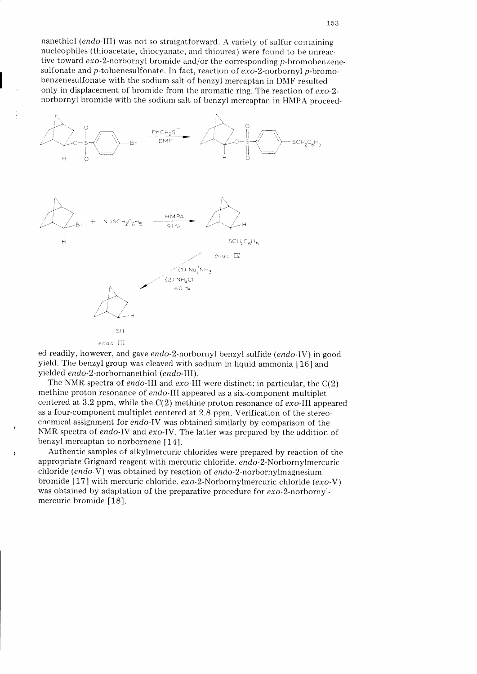nanethiol (endo-III) was not so straightforward. A variety of sulfur-containing nucleophiles (thioacetate, thiocyanate, and thiourea) were found to be unreactive toward  $exo-2$ -norbornyl bromide and/or the corresponding  $p$ -bromobenzenesulfonate and p-toluenesulfonate. In fact, reaction of  $exo-2$ -norbornyl p-bromobenzenesulfonate with the sodium salt of benzyl mercaptan in DMF resulted only in displacement of bromide from the aromatic ring. The reaction of  $exo-2$ norbornyl bromide with the sodium salt of benzyl mercaptan in HMPA proceed-



ed readily, however, and gave endo-2-norbornyl benzyl sulfide (endo-IV) in good yield. The benzyl group was cleaved with sodium in liquid ammonia [16] and yielded endo-2-norbornanethiol (endo-III).

The NMR spectra of endo-III and exo-III were distinct; in particular, the  $C(2)$ methine proton resonance of endo-III appeared as a six-component multiplet centered at 3.2 ppm, while the  $C(2)$  methine proton resonance of  $exo$ -III appeared as a four-component multiplet centered at 2.8 ppm. Verification of the stereochemical assignment for endo-IV was obtained similarly by comparison of the NMR spectra of endo-IV and exo-IV. The latter was prepared by the addition of benzyl mercaptan to norbornene [14].

Authentic samples of alkylmercuric chlorides were prepared by reaction of the appropriate Grignard reagent with mercuric chloride. endo-2-Norbornylmercuric chloride (endo-V) was obtained by reaction of endo-2-norbornylmagnesium bromide [17] with mercuric chloride.  $exo-2$ -Norbornylmercuric chloride  $(exo-V)$ was obtained by adaptation of the preparative procedure for exo-2-norbornylmercuric bromide [18].

ź.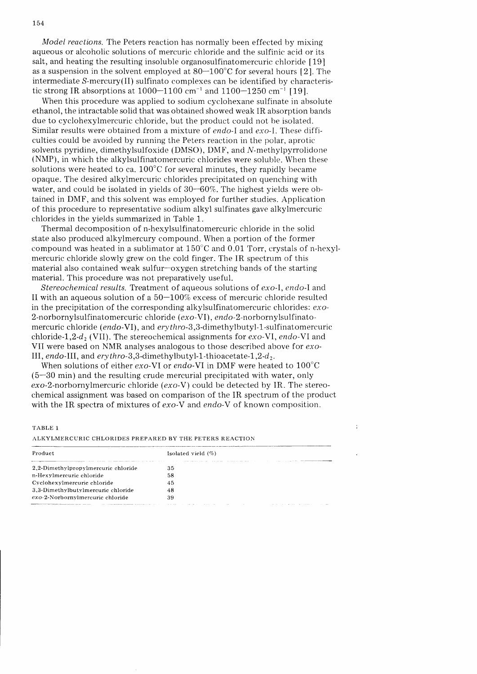Model reactions. The Peters reaction has normally been effected by mixing aqueous or alcoholic solutions of mercuric chloride and the sulfinic acid or its salt, and heating the resulting insoluble organosulfinatomercuric chloride  $[19]$ as a suspension in the solvent employed at  $80-100^{\circ}$ C for several hours [2]. The intermediate S-mercury(II) sulfinato complexes can be identified by characteristic strong IR absorptions at  $1000-1100$  cm<sup>-1</sup> and  $1100-1250$  cm<sup>-1</sup> [19].

When this procedure was applied to sodium cyclohexane sulfinate in absolute ethanol, the intractable solid that was obtained showed weak IR absorption bancls due to cyclohexylmercuric chloride, but the product could not be isolated. Similar results were obtained from a mixture of *endo-I* and *exo-I*. These difficulties could be avoided by running the Peters reaction in the polar, aprotic solvents pyridine, dimethylsulfoxide (DMSO), DMF, and N-methylpyrrolidone (NMP), in which the alkylsulfinatomercuric chlorides were soluble. When these solutions were heated to ca.  $100^{\circ}$ C for several minutes, they rapidly became opaque. The desired alkylmercuric chlorides precipitated on quenching with water, and could be isolated in yields of  $30-60\%$ . The highest yields were obtained in DMF, and this solvent was employed for further studies. Application of this procedure to representative sodium alkyl sulfinates gave alkylmercuric chlorides in the yields summarized in Table 1.

Thermal decomposition of n-hexylsulfinatomercuric chloride in the solid state also produced alkylmercury compound. When a portion of the former compound was heated in a sublimator at  $150^{\circ}$ C and 0.01 Torr, crystals of n-hexylmercuric chloride slowly grew on the cold finger. The IR spectrum of this material also contained weak sulfur-oxygen stretching bands of the starting material. This procedure was not preparatively useful.

Stereochemical results. Treatment of aqueous solutions of  $exo-I$ , endo-I and II with an aqueous solution of a  $50-100\%$  excess of mercuric chloride resulted in the precipitation of the corresponding alkylsulfinatomercuric chlorides: exo-2-norbornylsulfinatomercuric chloride  $(exo-VI)$ , endo-2-norbornylsulfinatomercuric chloride (endo-VI), and erythro-3,3-dimethylbutyl-1-sulfinatomercuric chloride-1,2- $d_2$  (VII). The stereochemical assignments for exo-VI, endo-VI and VII were based on NMR analyses analogous to those described above for exo-III, endo-III, and ery thro-3,3-dimethylbutyl-1-thio acetate-1,2- $d_2$ .

When solutions of either  $exo-VI$  or endo-VI in DMF were heated to  $100^{\circ}$ C (5-30 min) and the resulting crude mercurial precipitated with water, only exo-Z-norbornylmercuric chloride (exo-Y) could be detected by IR. The stereochemical assignment was based on comparison of the IR spectnim of the product with the IR spectra of mixtures of  $exo-V$  and endo-V of known composition.

Ċ

#### TABLE 1

ALKYLMERCURIC CHLORIDES PREPARED BY THE PETERS REACTION

| Product                             | Isolated vield $(\%)$                                                      |  |  |  |
|-------------------------------------|----------------------------------------------------------------------------|--|--|--|
| 2.2-Dimethylpropylmercuric chloride | 35                                                                         |  |  |  |
| n-Hexylmercuric chloride            | 58                                                                         |  |  |  |
| Cyclohexylmercuric chloride         | 45                                                                         |  |  |  |
| 3.3-Dimethylbutylmercuric chloride  | 48                                                                         |  |  |  |
| exo-2-Norbornylmercuric chloride    | 39                                                                         |  |  |  |
|                                     | the contract of the contract of the contract of<br>the control of the con- |  |  |  |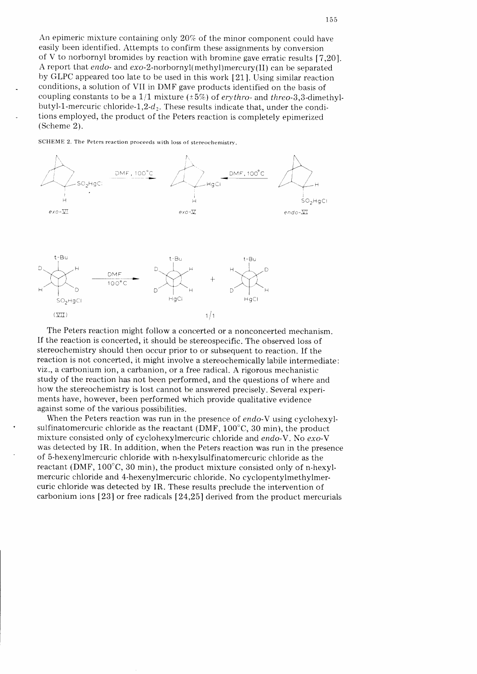An epimeric mixture containing only  $20\%$  of the minor component could have easily been identified. Attempts to confirm these assignments by conversion of V to norbornyl bromides by reaction with bromine gave erratic results  $[7,20]$ . A report that *endo-* and  $exo-2-norbornyl(methyl)mercury(II)$  can be separated by GLPC appeared too late to be used in this work [21]. Using similar reaction conditions, a solution of VII in DMF gave products identified on the basis of coupling constants to be a 1/1 mixture ( $\pm 5\%$ ) of erythro- and threo-3,3-dimethylbutyl-1-mercuric chloride-1,2- $d_2$ . These results indicate that, under the conditions employed, the product of the Peters reaction is completely epimerized (Scheme 2).

SCHEME 2. The Peters reaction proceeds with loss of stereochemistry.



The Peters reaction might follow a concerted or a nonconcerted mechanism. If the reaction is concerted, it should be stereospecific. The observed loss of stereochemistry should then occur prior to or subsequent to reaction. If the reaction is not concerted, it might involve a stereochemically labile intermediate: viz., a carbonium ion, a carbanion, or a free radical. A rigorous mechanistic study of the reaction has not been performed, and the questions of where and how the stereochemistry is lost cannot be answered precisely. Several experiments have, however, been performed which provide qualitative evidence against some of the various possibilities.

When the Peters reaction was run in the presence of endo-V using cyclohexylsulfinatomercuric chloride as the reactant (DMF,  $100^{\circ}$ C, 30 min), the product mixture consisted only of cyclohexylmercuric chloride and endo-V. No exo-V was detected by IR. In addition, when the Peters reaction was run in the presence of 5-hexenylmercuric chloride with n-hexylsulfinatomercuric chloride as the reactant (DMF,  $100^{\circ}$ C, 30 min), the product mixture consisted only of n-hexylmercuric chloride and 4-hexenylmercuric chloride. No cyclopentylmethylmercuric chloride was detected by IR. These results preclude the intervention of carbonium ions  $\lceil 23 \rceil$  or free radicals  $\lceil 24,25 \rceil$  derived from the product mercurials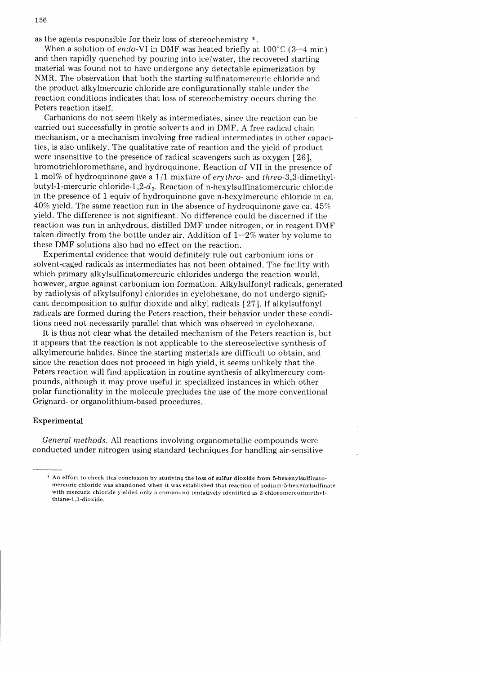as the agents responsible for their loss of stereochemistry  $*$ .

When a solution of endo-VI in DMF was heated briefly at  $100^{\circ}$ C (3-4 min) and then rapidly quenched by pouring into ice/water, the recovered starting material was found not to have undergone any detectable epimerization by NMR. The observation that both the starting sulfinatomercuric chloride and the product alkylmercuric chloride are configurationally stable under the reaction conditions indicates that loss of stereochemistry occurs during the Peters reaction itself.

Carbanions do not seem likely as intermediates, since the reaction can be carried out successfully in protic solvents and in DMF. A free radical chain mechanism, or a mechanism involving free radical intermediates in other capacities, is also unlikely. The qualitative rate of reaction and the yield of product were insensitive to the presence of radical scavengers such as oxygen 1261, bromotrichloromethane, and hydroquinone. Reaction of VII in the presence of 1 mol% of hydroquinone gave a  $1/1$  mixture of erythro- and threo-3,3-dimethylbutyl-1 -mercuric chloride-1,2-d<sub>2</sub>. Reaction of n-hexylsulfinatomercuric chloride in the presence of 1 equiv of hydroquinone gave n-hexylmercuric chloride in ca.  $40\%$  yield. The same reaction run in the absence of hydroquinone gave ca.  $45\%$ yield. The difference is not significant. No difference could be discerned if the reaction was run in anhydrous, distilled DMF under nitrogen, or in reagent DMF taken directly from the bottle under air. Addition of  $1-2\%$  water by volume to these DMF solutions also had no effect on the reaction.

Experimental evidence that would definitely rule out carbonium ions or solvent-caged radicals as intermediates has not been obtained. The facility with which primary alkylsulfinatomercuric chlorides undergo the reaction would, however, argue against carbonium ion formation. Alkylsulfonyl radicals, generated by radiolysis of alkylsulfonyl chlorides in cyclohexane, do not undergo significant decomposition to sulfur dioxide and alkyl radicals [27]. If alkylsulfonyl radicals are formed during the Peters reaction, their behavior under these conditions need not necessarily parallel that which was observed in cyclohexane.

It is thus not clear what the detailed mechanism of the Peters reaction is, but it appears that the reaction is not applicable to the stereoselective synthesis of alkylmercuric halides. Since the starting materials are difficult to obtain, and since the reaction does not proceed in high yield, it seems unlikely that the Peters reaction will find application in routine synthesis of alkylmercury compounds, although it may prove useful in specialized instances in which other polar functionality in the molecule precludes the use of the more conventional Grignard- or organolithium-based procedures.

## Experimental

General methods. All reactions involving organometallic compounds were conducted under nitrogen using standard techniques for handling air-sensitive

<sup>\*</sup> An effort to check this conclusion by studying the loss of sulfur dioxide from b-hexenylzulfinatomercuric chloride was abandoned when it was established that reaction of sodium-5-hexenylsulfinate with mercuric chloride yielded only a compound tentatively identified as 2-chloromercurimethylthiane-1.1-dioxide.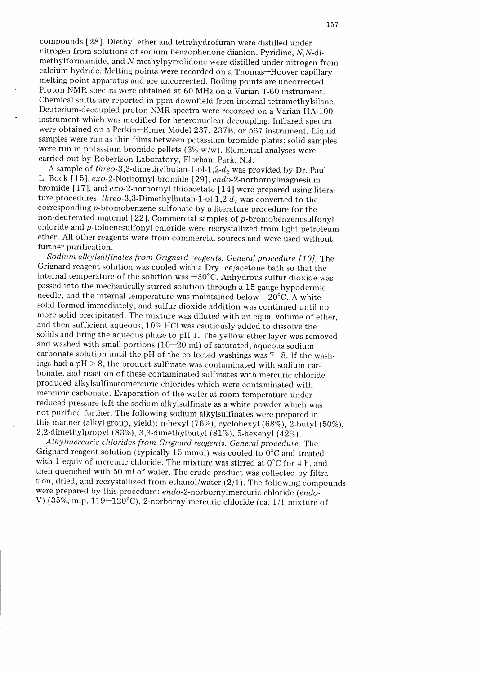compounds [28]. Diethyl ether and tetrahydrofuran were distilled under nitrogen from solutions of sodium benzophenone dianion. Pyridine,  $N,N$ -dimethylformamide, and N-methylpyrrolidone were distilled under nitrogen from calcium hydride. Melting points were recorded on a Thomas-Hoover capillary melting point apparatus and are uncorrected. Boiling points are uncorrected. Proton NMR spectra were obtained at 60 MHz on a Varian T-60 instrument. Chemical shifts are reported in ppm downfield from internal tetramethylsilane. Deuterium-decoupled proton NMR spectra were recorded on a Varian HA-100 instrument which was modified for heteronuciear decoupling. Infrared spectra were obtained on a Perkin-Elmer Model 237, 237B, or 567 instrument. Liquid samples were run as thin films between potassium bromide plates; solid samples were run in potassium bromide pellets ( $3\%$  w/w). Elemental analyses were carried out by Robertson Laboratory, Florham Park, N.J.

A sample of threo-3,3-dimethylbutan-1-ol-1,2- $d_2$  was provided by Dr. Paul L. Bock [15]. exo-2-Norbornyl bromide [29], endo-2-norbornylmagnesium bromide [17], and exo-2-norbornyl thioacetate [14] were prepared using literature procedures. threo-3,3-Dimethylbutan-1-ol-1,2- $d_2$  was converted to the corresponding p-bromobenzene sulfonate by a literature procedure for the non-deuterated material 1221. Commercial samples of p-bromobenzenesulfonyl chloride and  $p$ -toluenesulfonyl chloride were recrystallized from light petroleum ether. AII other reagents were from commercial sources and were used without further purification.

Sodium alky lsulfinates from Grignard reagents. General procedure [10]. The Grignard reagent solution was cooled with a Dry Ice/acetone bath so that the internal temperature of the solution was  $-30^{\circ}$ C. Anhydrous sulfur dioxide was passed into the mechanically stirred solution through a 15-gauge hypodermic needle, and the internal temperature was maintained below  $-20^{\circ}$ C. A white solid formed immediately, and sulfur dioxide addition was continued until no more solid precipitated. The mixture was diluted with an equal volume of ether, and then sufficient aqueous,  $10\%$  HCl was cautiously added to dissolve the solids and bring the aqueous phase to pH 1. The yellow ether layer was removed and washed with small portions  $(10-20 \text{ ml})$  of saturated, aqueous sodium carbonate solution until the pH of the collected washings was  $7-8$ . If the washings had a  $pH > 8$ , the product sulfinate was contaminated with sodium carbonate, and reaction of these contaminated sulfinates with mercuric chloride produced alkylsulfinatomercuric chlorides which were contaminated with mercuric carbonate. Evaporation of the water at room temperature under reduced pressure left the sodium alkylsulfinate as a white powder which was not purified further. The following sodium alkylsulfinates were prepared in this manner (alkyl group, yield): n-hexyl (76%), cyclohexyl (68%), 2-butyl (50%), 2,2-dimethylpropyl (83%), 3,3-dimethylbutyl (81%), 5-hexenyl (42%).

Alkylmercuric chlorides from Grignard reagents. General procedure. The Grignard reagent solution (typically 15 mmol) was cooled to 0'C and treated with 1 equiv of mercuric chloride. The mixture was stirred at  $0^{\circ}$ C for 4 h, and then quenched with 50 ml of water. The crude product was collected by filtration, dried, and recrystallized from ethanol/water  $(2/1)$ . The following compounds were prepared by this procedure: endo-2-norbornylmercuric chloride (endo-V) (35%, m.p. 119-120°C), 2-norbornylmercuric chloride (ca.  $1/1$  mixture of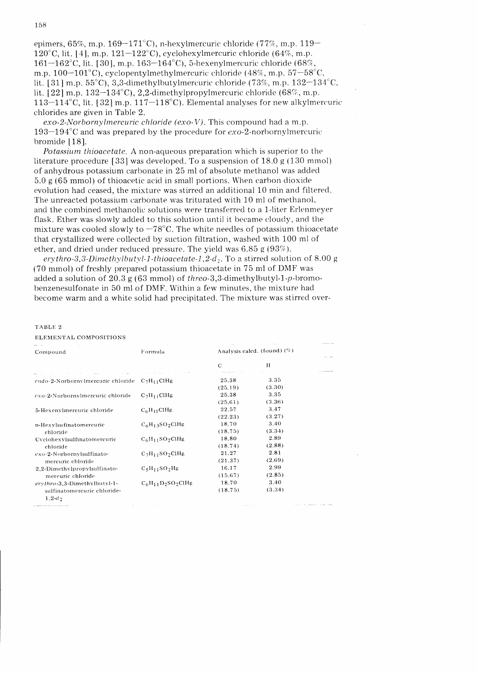epimers,  $65\%$ , m.p.  $169-171^{\circ}$ C), n-hexylmercuric chloride (77%, m.p. 119-120 $\degree$ C, lit. [4], m.p. 121-122 $\degree$ C), cyclohexylmercuric chloride (64%, m.p. 161-162°C, lit. [30], m.p. 163-164°C), 5-hexenylmercuric chloride (68%, m.p.  $100-101^{\circ}$ C), cyclopentylmethylmercuric chloride (48%, m.p.  $57-58^{\circ}$ C, lit. [31] m.p.  $55^{\circ}$ C), 3,3-dimethylbutylmercuric chloride (73%, m.p. 132-134 $^{\circ}$ C, lit.  $[22]$  m.p.  $132-134^{\circ}$ C), 2,2-dimethylpropylmercuric chloride (68%, m.p. 113-114°C, lit. [32] m.p.  $117-118$ °C). Elemental analyses for new alkylmercuric chlorides are given in Table 2.

 $exo-2-Norbornylmercuric chloride (exo-V).$  This compound had a m.p. 193-194 $\degree$ C and was prepared by the procedure for exo-2-norbornylmercuric bromide [181.

Potassium thioacetate. A non-aqueous preparation which is superior to the literature procedure [33] was developed. To a suspension of  $18.0$  g (130 mmol) of anhydrous potassium carbonate in 25 ml of absolute methanol was added  $5.0 \text{ g}$  (65 mmol) of thioacetic acid in small portions. When carbon dioxide evolution had ceased, the mixture was stirred an additional 10 min and filtered. The unreacted potassium carbonate was triturated with 10 ml of methanol, and the combined methanolic solutions were transferred to a 1-liter Erlenmeyer flask. Ether was slowly added to this solution until it became cloudy, and the mixture was cooled slowly to  $-78^{\circ}$ C. The white needles of potassium thioacetate that crystallized were collected by suction filtration, washed with 100 ml of ether, and dried under reduced pressure. The yield was 6.85 g (93%).

erythro-3,3-Dimethylbutyl-1-thioacetate-1,2-d<sub>2</sub>. To a stirred solution of 8.00 g (70 mmol) of freshly prepared potassium thioacetate in 75 ml of DMF was added a solution of 20.3 g (63 mmol) of threo-S,3-dimethylbutyl-1-p-bromobenzenesulfonate in 50 ml of DMF. Within a few minutes, the mixture had become warm and a white solid had precipitated. The mixture was stirred over-

#### TABLE 2

| Compound                                                                                                                     | Formula               | the control of the control and the control of the<br>Analysis calcd. (found) $(\%)$ |        |  |
|------------------------------------------------------------------------------------------------------------------------------|-----------------------|-------------------------------------------------------------------------------------|--------|--|
|                                                                                                                              |                       | and the state of the state.<br>$\mathbf C$                                          | Н      |  |
| endo-2-Norbornylmercuric chloride                                                                                            | $C_7H_{11}CHg$        | 25.38                                                                               | 3.35   |  |
|                                                                                                                              |                       | (25.19)                                                                             | (3.30) |  |
| exo-2-Norbornylmercuric chloride                                                                                             | $C_7H_{11}CHg$        | 25.38                                                                               | 3.35   |  |
|                                                                                                                              |                       | (25.61)                                                                             | (3.36) |  |
| 5-Hexenylmercuric chloride                                                                                                   | $C_6H_{11}CHg$        | 22.57                                                                               | 3.47   |  |
|                                                                                                                              |                       | (22.23)                                                                             | (3.27) |  |
| n-Hexylsufinatomercuric<br>chloride                                                                                          | $C_6H_13SO_2CHg$      | 18.70                                                                               | 3.40   |  |
|                                                                                                                              |                       | (18.75)                                                                             | (3.34) |  |
| Cyclohexylsulfinatomercuric                                                                                                  | $C_6H_{11}SO_2CHg$    | 18.80                                                                               | 2.89   |  |
| chloride                                                                                                                     |                       | (18.74)                                                                             | (2.88) |  |
| $exo-2$ -Norbornylsulfinato-                                                                                                 | $C_7H_{11}SO_2CHg$    | 21.27                                                                               | 2.81   |  |
| mercuric chloride                                                                                                            |                       | (21.37)                                                                             | (2.69) |  |
| 2.2-Dimethylpropylsulfinato-                                                                                                 | $C_5H_{11}SO_2Hg$     | 16.17                                                                               | 2.99   |  |
| mercuric chloride                                                                                                            |                       | (15.67)                                                                             | (2.85) |  |
| erythro-3,3-Dimethylbutyl-1-                                                                                                 | $C_6H_{11}D_2SO_2CHg$ | 18.70                                                                               | 3.40   |  |
| sulfinatomercuric chloride-                                                                                                  |                       | (18.75)                                                                             | (3.34) |  |
| $1,2-d_2$<br>the contract of the contract of the contract of the contract of the contract of the contract of the contract of |                       |                                                                                     |        |  |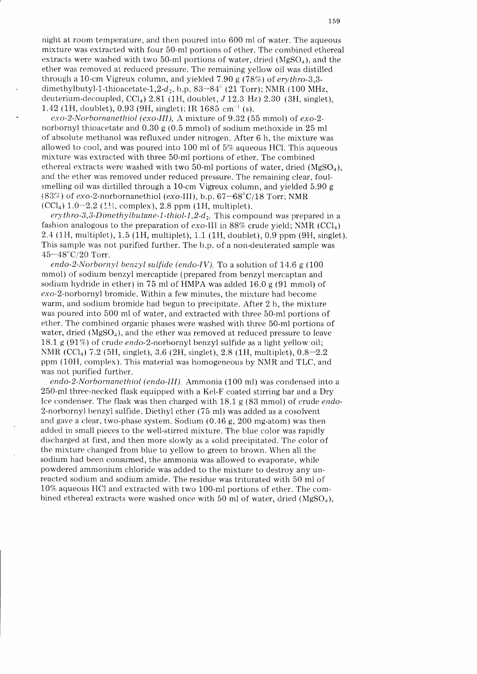night at room temperature, and then poured into 600 ml of water. The aqueous mixture was extracted with four 50-ml portions of ether. The combined ethereal extracts were washed with two 50-ml portions of water, dried  $(MgSO<sub>a</sub>)$ , and the ether was removed at reduced pressure. The remaining yellow oil was distilled through a 10-cm Vigreux column, and yielded 7.90 g (78%) of  $erythro-3,3$ dimethylbutyl-1-thioacetate-1,2-d<sub>2</sub>, b.p. 83-84° (21 Torr); NMR (100 MHz, deuterium-decoupled,  $\text{CCl}_4$ ) 2.81 (1H, doublet, J 12.3 Hz) 2.30 (3H, singlet), 1.42 (1H, doublet), 0.93 (9H, singlet); IR 1685 cm<sup>-1</sup> (s).

exo-2-Norbornanethiol (exo-III), A mixture of  $9.32$  (55 mmol) of exo-2norbornyl thioacetate and 0.30 g (0.5 mmol) of sodium methoxide in 25 ml of absolute methanol was refluxed under nitrogen. After 6 h, the mixture was allowed to cool, and was poured into 100 ml of 5% aqueous HCl. This aqueous mixture was extracted with three 50-ml portions of ether. The combined ethereal extracts were washed with two 50-ml portions of water, dried  $(MgSO<sub>a</sub>)$ , and the ether was removed under reduced pressure. The remaining clear, foulsmelling oil was distilled through a 10-cm Vigreux column, and yielded 5.90 g (83%) of exo-2-norbornanethiol (exo-III), b.p.  $67-68^{\circ}C/18$  Torr; NMR  $(CCl<sub>4</sub>)$  1.0-2.2 (1H, complex), 2.8 ppm (1H, multiplet).

erythro-3,3-Dimethylbutane-1-thiol-1,2-d<sub>2</sub>. This compound was prepared in a fashion analogous to the preparation of  $exo-III$  in 88% crude yield; NMR (CCl<sub>4</sub>) 2.4(7H, multiplet), 1.5 (1H, multiplet), 1.1 (1H, doublet),0.9 ppm (9H, singlet). This sample was not purified further. The b.p. of a non-deuterated sample was  $45 - 48$ °C/20 Torr.

endo-2-Norbornyl benzyl sulfide (endo-IV). To a solution of  $14.6$  g (100) mmol) of sodium benzyl mercaptide (prepared from benzyl mercaptan and sodium hydride in ether) in 75 ml of HMPA was added 16.0 g (91 mmol) of exo-2-norbornyl bromide. Within a few minutes, the mixture had become warm, and sodium bromide had begun to precipitate. After 2 h, the mixture was poured into 500 ml of water, and extracted with three 50-ml portions of ether. The combined organic phases were washed with three 50-ml portions of water, dried ( $MgSO<sub>4</sub>$ ), and the ether was removed at reduced pressure to leave 18.1 g (97%) of crude endo-2-norbornyl benzyl sulfide as a light yellow oil; NMR (CCl<sub>4</sub>)  $7.2$  (5H, singlet), 3.6 (2H, singlet), 2.8 (1H, multiplet),  $0.8-2.2$ ppm (10H, complex). This material was homogeneous by NMR and TLC, and was not purified further.

endo-2-Norbornanethiol (endo-III). Ammonia (100 ml) was condensed into a 250-pl three-necked flask equipped with a Kel-F coated stirring bar and a Dry Ice condenser. The flask was then charged with 18.1 g (83 mmol) of crude endo-2-norbornyl benzyl sulfide. Diethyl ether (75 ml) was added as a cosolvent and gave a clear, two-phase system. Sodium  $(0.46 \text{ g}, 200 \text{ mg-atom})$  was then added in small pieces to the well-stirred mixture. The blue color was rapidly discharged at first, and then more slowly as a solid precipitated. The color of the mixture changed from blue to yellow to green to brown. When all the sodium had been consumed, the ammonia was allowed to evaporate, while powdered ammonium chloride was added to the mixture to destroy any unreacted sodium and sodium amide. The residue was triturated with 50 ml of 10% aqueous HCl and extracted with two 100-ml portions of ether. The combined ethereal extracts were washed once with 50 ml of water, dried  $(MgSO<sub>4</sub>)$ ,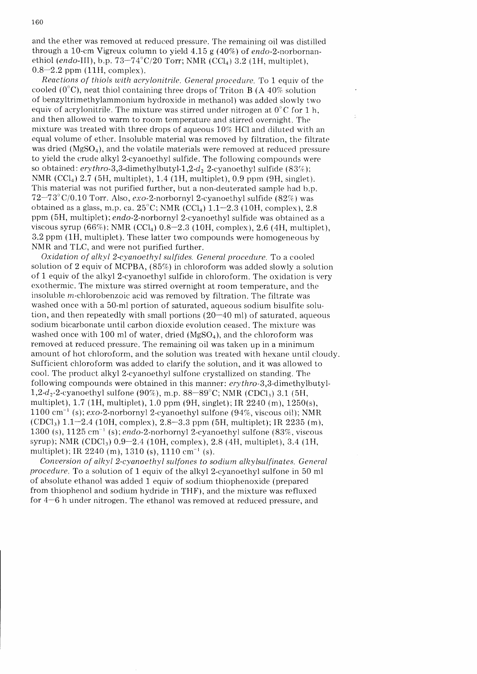and the ether was removed at reduced pressure. The remaining oil was distilled through a 10-cm Vigreux column to yield  $4.15$  g (40%) of endo-2-norbornanethiol (endo-III), b.p.  $73-74^{\circ}C/20$  Torr; NMR (CCl<sub>4</sub>) 3.2 (1H, multiplet),  $0.8 - 2.2$  ppm (11H, complex).

Reactions of thiols with acrylonitrile. General procedure. To 1 equiv of the cooled  $(0^{\circ}C)$ , neat thiol containing three drops of Triton B (A 40% solution of benzyltrimethylammonium hydroxide in methanol) was added slowly two equiv of acrylonitrile. The mixture was stirred under nitrogen at  $0^{\circ}$ C for 1 h, and then allowed to warm to room temperature and stirred overnight. The mixture was treated with three drops of aqueous  $10\%$  HCl and diluted with an equal volume of ether. Insoluble material was removed by filtration, the filtrate was dried ( $MgSO<sub>4</sub>$ ), and the volatile materials were removed at reduced pressure to yield the crude alkyl 2-cyanoethyl sulfide. The following compounds were so obtained: erythro-3,3-dimethylbutyl-1,2-d<sub>2</sub> 2-cyanoethyl sulfide (83%); NMR (CCl<sub>4</sub>) 2.7 (5H, multiplet), 1.4 (1H, multiplet), 0.9 ppm (9H, singlet). This material was not purified further, but a non-deuterated sample had b.p.  $72-73^{\circ}$  C/0.10 Torr. Also, exo-2-norbornyl 2-cyanoethyl sulfide (82%) was obtained as a glass, m.p. ca.  $25^{\circ}$ C; NMR (CCI<sub>4</sub>)  $1.1-2.3$  (10H, complex), 2.8 ppm (5H, multiplet);endo-2-norbornvl 2-cyanoethyl sulfide was obtained as a viscous syrup  $(66\%)$ ; NMR  $(CCl<sub>4</sub>)$  0.8-2.3 (10H, complex), 2.6 (4H, multiplet), 3.2 ppm (1H, multiplet). These latter two compounds were homogeneous by NMR and TLC, and were not purified further.

Oxidation of alkyl 2-cyanoethyl sulfides. General procedure. To a cooled solution of 2 equiv of MCPBA,  $(85%)$  in chloroform was added slowly a solution of 1 equiv of the alkyl 2-cyanoethyl sulfide in chloroform. The oxidation is very exothermic. The mixture was stirred overnight at room temperature, and the insoluble m-chlorobenzoic acid was removed by filtration. The filtrate was washed once with a 50-ml portion of saturated, aqueous sodium bisulfite solution, and then repeatedly with small portions  $(20-40 \text{ ml})$  of saturated, aqueous sodium bicarbonate until carbon dioxide evolution ceased. The mixture was washed once with 100 ml of water, dried  $(MgSO<sub>a</sub>)$ , and the chloroform was removed at reduced pressure. The remaining oil was taken up in a minimum amount of hot chioroform, and the solution was treated with hexane until cloudy. Sufficient chloroform was added to clarify the solution, and it was allowed to cool. The product alkyl 2-cyanoethyl sulfone crystallized on standing. The following compounds were obtained in this manner:  $erythro-3,3$ -dimethylbutyl-1,2-d<sub>2</sub>-2-cyanoethyl sulfone (90%), m.p. 88-89°C; NMR (CDCI.) 3.1 (5H, multiplet), 1.7 (1H, multiplet), 1.0 ppm (9H, singlet); IR 2240 (m),  $1250(s)$ ,  $1100 \text{ cm}^{-1}$  (s); exo-2-norbornyl 2-cyanoethyl sulfone (94%, viscous oil); NMR (CDCl<sub>3</sub>)  $1.1-2.4$  (10H, complex),  $2.8-3.3$  ppm (5H, multiplet); IR 2235 (m), 1300 (s),  $1125 \text{ cm}^{-1}$  (s); endo-2-norbornyl 2-cyanoethyl sulfone (83%, viscous syrup); NMR (CDCl<sub>3</sub>)  $0.9-2.4$  (10H, complex), 2.8 (4H, multiplet), 3.4 (1H, multiplet); IR  $2240$  (m),  $1310$  (s),  $1110$  cm<sup>-1</sup> (s).

Conversion of alkyl 2-cyanoethyl sulfones to sodium alkylsulfinates. General procedure. To a solution of 1 equiv of the alkyl 2-cyanoethyl sulfone in 50 ml of absolute ethanol was added 1 equiv of sodium thiophenoxide (prepared from thiophenol and sodium hydride in THF), and the mixture was refluxed for 4-6 h under nitroqen. The ethanol was removed at reduced pressure. and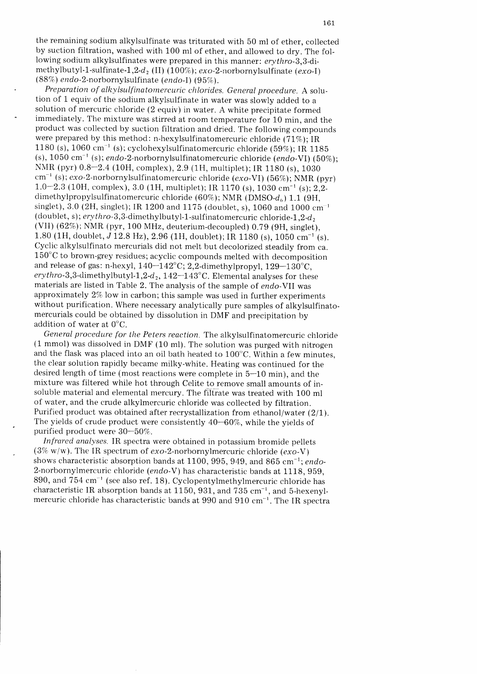the remaining sodium alkylsulfinate was triturated with 50 ml of ether, collected by suction filtration, washed with 100 ml of ether, and allowed to dry. The following sodium alkylsulfinates were prepared in this manner: erythro-3,3-dimethylbutyl-1-sulfinate-1,2-d<sub>2</sub> (II) (100%); exo-2-norbornylsulfinate (exo-I)  $(88\%)$  endo-2-norbornylsulfinate (endo-I)  $(95\%).$ 

Preparation of alkylsulfinatomercuric chlorides. General procedure. A solution of 1 equiv of the sodium alkylsulfinate in water was slowly added to a solution of mercuric chloride (2 equiv) in water. A white precipitate formed immediately. The mixture was stirred at room temperature for 10 min, and the product was collected by suction filtration and dried. The following compounds were prepared by this method: n-hexylsulfinatomercuric chloride (71%); IR 1180 (s), 1060 cm<sup>-1</sup> (s); cyclohexylsulfinatomercuric chloride (59%); IR 1185 (s),  $1050 \text{ cm}^{-1}$  (s); endo-2-norbornylsulfinatomercuric chloride (endo-VI) (50%); NMR (pyr) 0.8-2.4 (10H, complex), 2.9 (1H, multiplet); IR 1180 (s), 1030  $cm^{-1}$  (s); exo-2-norbornylsulfinatomercuric chloride (exo-VI) (56%); NMR (pyr) 1.0-2.3 (10H, complex), 3.0 (1H, multiplet); IR 1170 (s), 1030 cm<sup>-1</sup> (s); 2,2dimethylpropylsulfinatomercuric chloride (60%); NMR (DMSO- $d_6$ ) 1.1 (9H, singlet), 3.0 (2H, singlet); IR 1200 and 1175 (doublet, s), 1060 and 1000  $cm^{-1}$ (doublet, s); ery thro - 3,3 -dimethylbutyl - 1 -sulfinato mercuric chloride-  $1.2$ - $d_2$ (VII)  $(62\%)$ ; NMR (pyr, 100 MHz, deuterium-decoupled) 0.79 (9H, singlet), 1.80 (1H, doublet,  $J$  12.8 Hz), 2.96 (1H, doublet); IR 1180 (s), 1050 cm<sup>-1</sup> (s). Cyclic alkylsulfinato mercurials did not melt but decolorized steadily from ca.  $150^{\circ}$ C to brown-grey residues; acyclic compounds melted with decomposition and release of gas: n-hexyl,  $140-142^{\circ}$ C; 2,2-dimethylpropyl,  $129-130^{\circ}$ C, erythro-3,3-dimethylbutyl-1,2-d<sub>2</sub>, 142-143°C. Elemental analyses for these materials are listed in Table 2. The analysis of the sample of endo-VII was approximately 2% low in carbon; this sample was used in further experiments without purification. Where necessary analytically pure samples of alkylsulfinatomercurials could be obtained by dissolution in DMF and precipitation by addition of water at 0'C.

General procedure for the Peters reaction. The alkyisulfinatomercuric chloride (1 mmol) was dissolved in DMF (10 ml). The solution was purged with nitrogen and the flask was placed into an oil bath heated to  $100^{\circ}$ C. Within a few minutes, the clear solution rapidly became milky-white. Heating was continued for the desired length of time (most reactions were complete in 5-10 min), and the mixture was filtered while hot through Celite to remove small amounts of insoluble material and elemental mercury. The filtrate was treated with 100 ml of water, and the crude alkyimercuric chloride was collected by filtration. Purified product was obtained after recrystallization from ethanol/water (2/1). The yields of crude product were consistently  $40-60\%$ , while the yields of purified product were 30-50%.

Infrared analyses. IR spectra were obtained in potassium bromide pellets (3% w/w). The IR spectrum of  $exo-2$ -norbornylmercuric chloride  $(exo-V)$ shows characteristic absorption bands at 1100, 995, 949, and 865 cm<sup>-1</sup>; endo-2-norbornylmercuric chloride (endo-V) has characteristic bands at 1118, 959, 890, and  $754 \text{ cm}^{-1}$  (see also ref. 18). Cyclopentylmethylmercuric chloride has characteristic IR absorption bands at 1150, 931, and 735  $cm^{-1}$ , and 5-hexenylmercuric chloride has characteristic bands at 990 and 910  $cm^{-1}$ . The IR spectra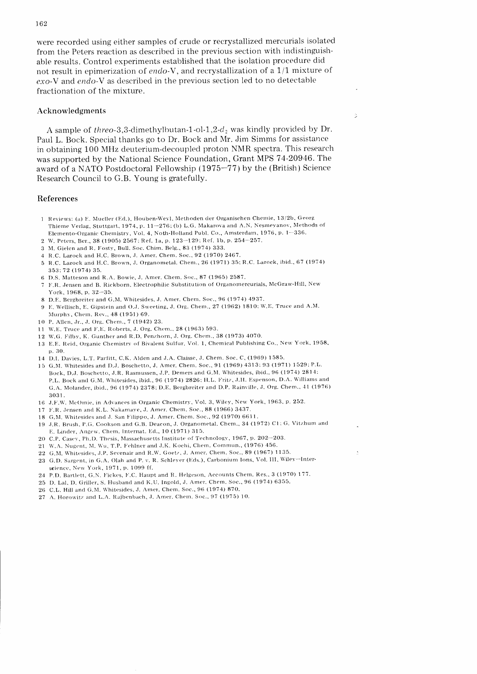were recorded using either samples of crude or recrystallized mercurials isolated from the Peters reaction as described in the previous section with indistinguishable results. Control experiments established that the isolation procedure did not result in epimerization of endo-V, and recrystallization of a  $1/1$  mixture of  $exo-V$  and endo-V as described in the previous section led to no detectable fractionation of the mixture.

## Acknowledgments

A sample of threo-3,3-dimethylbutan-1-ol-1,2- $d_2$  was kindly provided by Dr. Paul L. Bock. Special thanks go to Dr. Bock and Mr. Jim Simms for assistance in obtaining 100 MHz deuterium-decoupled proton NMR spectra. This research was supported by the National Science Foundation, Grant MPS 7 4-20946. The award of a NATO Postdoctoral Fellowship (1975-77) by the (British) Science Research Council to G.B. Young is gratefully.

 $\hat{z}$ 

# References

- 1 Reviews: (a) E. Mueller (Ed.), Houben-Weyl, Methoden der Organischen Chemie, 13/2b, Georg Thieme Verlag, Stuttgart, 1974, p. 11-276; (b) L.G. Makarova and A.N. Nesmeyanov, Methods of Elemento-Organic Chemistry, Vol. 4, Noth-Holland Publ. Co., Amsterdam, 1976, p. 1-336.
- 2 W. Peters, Ber.,38 (1905) 2567', Ref. 1a, p. 123-129: Ref. 1b. p.254-257.
- 3 M. Gielen and R. Fosty, Bull. Soc. Chim. Belg., 83 (1974) 333.
- 4 R.C. Larock and H.C. Brown, J. Amer. Chem. Soc., 92 (1970) 2467.
- 5 R.C. Larock and H.C. Brown, J. Organometal. Chem., 26 (1971) 35; R.C. Larock, ibid., 67 (1974) 353:72 (1974) 35.
- 6 D.S. Matteson and R.A. Bowie. J. Amer. Chern. Soc.,87 (1965) 2581 .
- 7 F.R. Jensen and B. Rickborn, Electrophilic Substitution of Organomercurials, McGraw-Hill, New York. 1968. p. 32-35.
- 8 D.E. Bergbreiter and G.M. Whitesides, J. Amer. Chem. Soc., 96 (1974) 4937.
- 9 E. Wellisch, E. Gipstein and O.J. Sweeting, J. Org. Chem., 27 (1962) 1810: W.E. Truce and A.M. Murphy, Chem. Rev., 48 (1951) 69.
- 10 P. Allen. Jr.,,J. Ors. Chcnr.,7 (1942) 23.
- 11 W.E. Truce and F.E. Roberts, J. Org. Chem., 28 (1963) 593.
- 12 W.G. Filby, K. Gunther and R.D. Penzhorn, J. Org. Chem., 38 (1973) 4070.
- 13 E.E. Reid, Organic Chemistry of Bivalent Sulfur, Vol. 1, Chemical Publishing Co., New York, 1958, p. 30.
- 14 D.I. Davies, L.T. Parfitt, C.K. Alden and J.A. Claisse, J. Chem. Soc. C, (1969) 1585.
- 15 G.M. Whitesides and D.J. Boschetto, J. Amer. Chem. Soc., 91 (1969) 4313: 93 (1971) 1529; P.L. Bock, D.J. Boschetto, J.R. Rasmussen, J.P. Demers and G.M. Whitesides, ibid., 96 (1974) 2814: P.L. Bock and G.M. Whitesides, ibid., 96 (1974) 2826; H.L. Fritz, J.H. Espenson, D.A. Williams and G.A. Molander, ibid., 96 (1974) 2378; D.E. Bergbreiter and D.P. Rainville, J. Org. Chem., 41 (1976) 3031.
- 16 J.F.W. McOmie, in Advances in Organic Chemistry, Vol. 3, Wiley, New York, 1963, p. 252.
- 17 F.R. Jensen and K.L. Nakamaye, J. Amer. Chem. Soc., 88 (1966) 3437.
- 18 G.M. Whitesides and J. San Filippo, J. Amer. Chem. Soc., 92 (1970) 6611.
- 19 J.R. Brush, P.G. Cookson and G.B. Deacon, J. Organometal. Chem., 34 (1972) C1; G. Vitzhum and E. Linder, Angew. Chem. Internat. Ed., 10 (1971) 315.
- 20 C.P. Casey, Ph.D. Thesis, Massachusetts Institute of Technology, 1967, p. 202-203.
- 21 W.A. Nugent, M. Wu, T.P. Fehlner and J.K. Kochi, Chem. Commun., (1976) 456.
- 22 G.M. Whitesides, J.P. Sevenair and R.W. Goetz, J. Amer. Chem. Soc., 89 (1967) 1135.
- 23 G.D. Sargent, in G.A. Olah and P. v. R. Schleyer (Eds.), Carbonium Ions, Vol. III, Wiley-Interscience, New York, 1971, p. 1099 ff.
- 24 P.D. Bartlett, G.N. F'ickes, F'.C. Haupt and R. Ilelgeson, Accounts Chem. Res.,3 (1970) 177.
- 25 D. Lal, D. Griller, S. Husband and K.U. Ingold, J. Amer. Chem. Soc., 96 (1974) 6355.
- 26 C.L. Hill and G.M. Whitesides, J. Amer. Chem. Soc., 96 (1974) 870.
- 27 A. Horowitz and L.A. Rajbenbach, J. Amer. Chem. Soc., 97 (1975) 10.